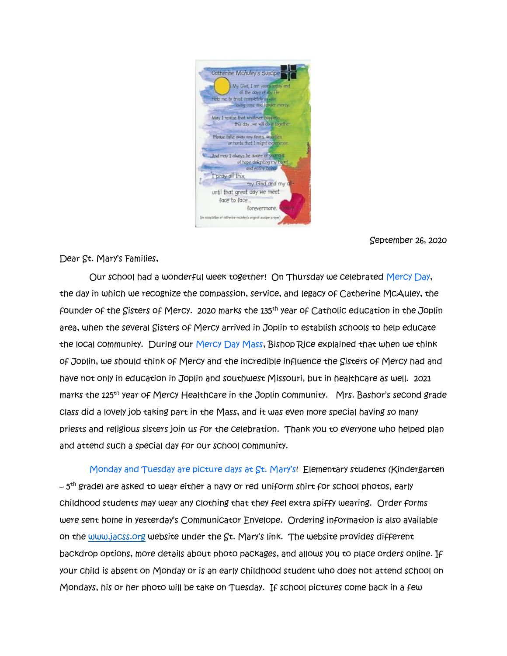

September 26, 2020

Dear St. Mary's Families,

 Our school had a wonderful week together! On Thursday we celebrated Mercy Day, the day in which we recognize the compassion, service, and legacy of Catherine McAuley, the founder of the Sisters of Mercy. 2020 marks the 135th year of Catholic education in the Joplin area, when the several Sisters of Mercy arrived in Joplin to establish schools to help educate the local community. During our Mercy Day Mass, Bishop Rice explained that when we think of Joplin, we should think of Mercy and the incredible influence the Sisters of Mercy had and have not only in education in Joplin and southwest Missouri, but in healthcare as well. 2021 marks the 125th year of Mercy Healthcare in the Joplin community. Mrs. Bashor's second grade class did a lovely job taking part in the Mass, and it was even more special having so many priests and religious sisters join us for the celebration. Thank you to everyone who helped plan and attend such a special day for our school community.

 Monday and Tuesday are picture days at St. Mary's! Elementary students (Kindergarten – 5<sup>th</sup> grade) are asked to wear either a navy or red uniform shirt for school photos, early childhood students may wear any clothing that they feel extra spiffy wearing. Order forms were sent home in yesterday's Communicator Envelope. Ordering information is also available on the [www.jacss.org](http://www.jacss.org/) website under the St. Mary's link. The website provides different backdrop options, more details about photo packages, and allows you to place orders online. If your child is absent on Monday or is an early childhood student who does not attend school on Mondays, his or her photo will be take on Tuesday. If school pictures come back in a few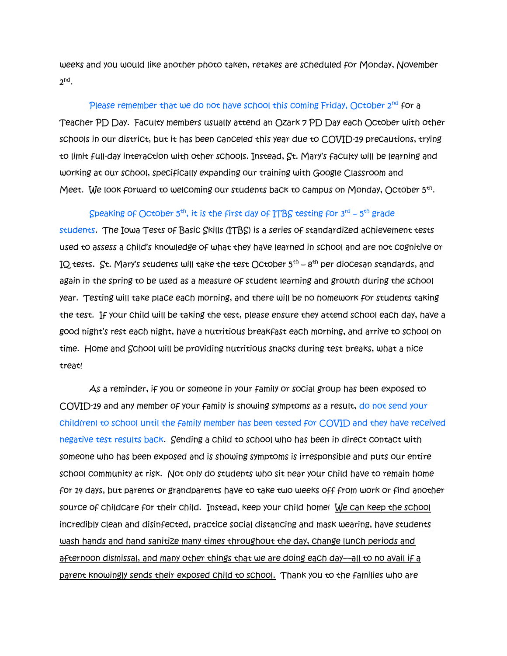weeks and you would like another photo taken, retakes are scheduled for Monday, November  $2^{nd}$ .

Please remember that we do not have school this coming Friday, October  $2^{nd}$  for a Teacher PD Day. Faculty members usually attend an Ozark 7 PD Day each October with other schools in our district, but it has been canceled this year due to COVID-19 precautions, trying to limit full-day interaction with other schools. Instead, St. Mary's faculty will be learning and working at our school, specifically expanding our training with Google Classroom and Meet. We look forward to welcoming our students back to campus on Monday, October 5<sup>th</sup>.

## Speaking of October 5<sup>th</sup>, it is the first day of ITBS testing for 3rd – 5<sup>th</sup> grade

students. The Iowa Tests of Basic Skills (ITBS) is a series of standardized achievement tests used to assess a child's knowledge of what they have learned in school and are not cognitive or IQ tests. St. Mary's students will take the test October 5<sup>th</sup> – 8<sup>th</sup> per diocesan standards, and again in the spring to be used as a measure of student learning and growth during the school year. Testing will take place each morning, and there will be no homework for students taking the test. If your child will be taking the test, please ensure they attend school each day, have a good night's rest each night, have a nutritious breakfast each morning, and arrive to school on time. Home and School will be providing nutritious snacks during test breaks, what a nice treat!

As a reminder, if you or someone in your family or social group has been exposed to COVID-19 and any member of your family is showing symptoms as a result, do not send your child(ren) to school until the family member has been tested for COVID and they have received negative test results back. Sending a child to school who has been in direct contact with someone who has been exposed and is showing symptoms is irresponsible and puts our entire school community at risk. Not only do students who sit near your child have to remain home for 14 days, but parents or grandparents have to take two weeks off from work or find another source of childcare for their child. Instead, keep your child home! We can keep the school incredibly clean and disinfected, practice social distancing and mask wearing, have students wash hands and hand sanitize many times throughout the day, change lunch periods and afternoon dismissal, and many other things that we are doing each day—all to no avail if a parent knowingly sends their exposed child to school. Thank you to the families who are